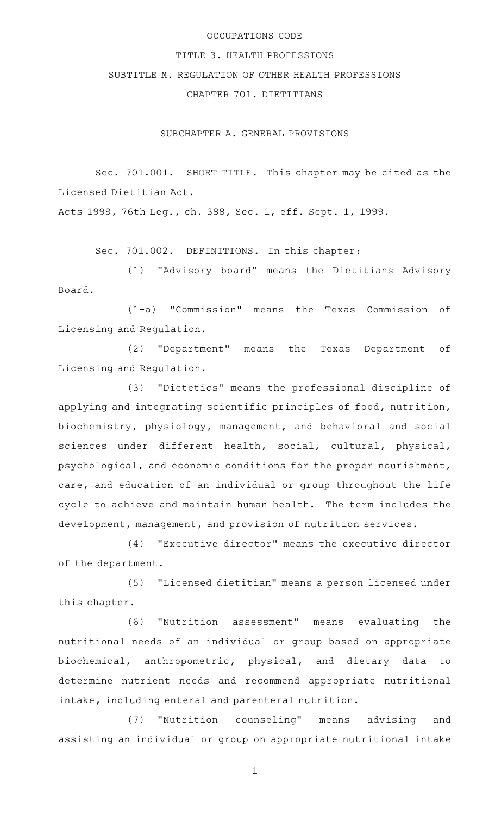## OCCUPATIONS CODE

## TITLE 3. HEALTH PROFESSIONS

## SUBTITLE M. REGULATION OF OTHER HEALTH PROFESSIONS

CHAPTER 701. DIETITIANS

SUBCHAPTER A. GENERAL PROVISIONS

Sec. 701.001. SHORT TITLE. This chapter may be cited as the Licensed Dietitian Act.

Acts 1999, 76th Leg., ch. 388, Sec. 1, eff. Sept. 1, 1999.

Sec. 701.002. DEFINITIONS. In this chapter:

(1) "Advisory board" means the Dietitians Advisory Board.

(1-a) "Commission" means the Texas Commission of Licensing and Regulation.

(2) "Department" means the Texas Department of Licensing and Regulation.

(3) "Dietetics" means the professional discipline of applying and integrating scientific principles of food, nutrition, biochemistry, physiology, management, and behavioral and social sciences under different health, social, cultural, physical, psychological, and economic conditions for the proper nourishment, care, and education of an individual or group throughout the life cycle to achieve and maintain human health. The term includes the development, management, and provision of nutrition services.

(4) "Executive director" means the executive director of the department.

(5) "Licensed dietitian" means a person licensed under this chapter.

(6) "Nutrition assessment" means evaluating the nutritional needs of an individual or group based on appropriate biochemical, anthropometric, physical, and dietary data to determine nutrient needs and recommend appropriate nutritional intake, including enteral and parenteral nutrition.

(7) "Nutrition counseling" means advising and assisting an individual or group on appropriate nutritional intake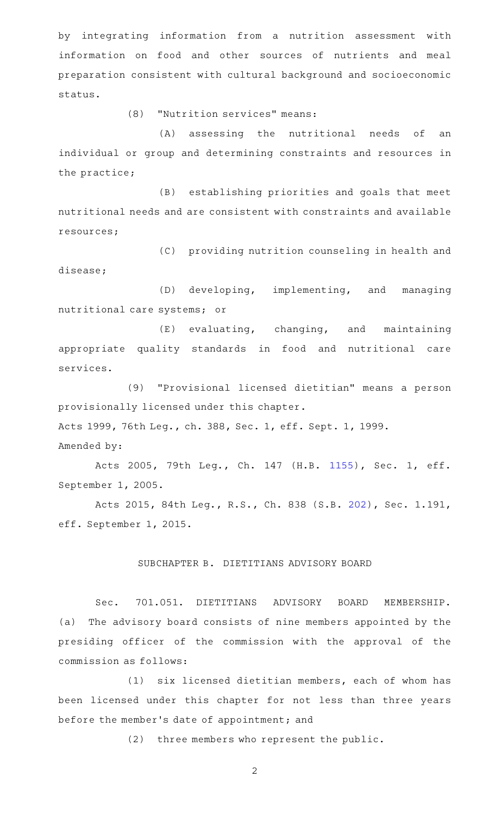by integrating information from a nutrition assessment with information on food and other sources of nutrients and meal preparation consistent with cultural background and socioeconomic status.

(8) "Nutrition services" means:

(A) assessing the nutritional needs of an individual or group and determining constraints and resources in the practice;

(B) establishing priorities and goals that meet nutritional needs and are consistent with constraints and available resources;

(C) providing nutrition counseling in health and disease;

(D) developing, implementing, and managing nutritional care systems; or

 $(E)$  evaluating, changing, and maintaining appropriate quality standards in food and nutritional care services.

(9) "Provisional licensed dietitian" means a person provisionally licensed under this chapter.

Acts 1999, 76th Leg., ch. 388, Sec. 1, eff. Sept. 1, 1999.

Amended by:

Acts 2005, 79th Leg., Ch. 147 (H.B. [1155](http://www.legis.state.tx.us/tlodocs/79R/billtext/html/HB01155F.HTM)), Sec. 1, eff. September 1, 2005.

Acts 2015, 84th Leg., R.S., Ch. 838 (S.B. [202](http://www.legis.state.tx.us/tlodocs/84R/billtext/html/SB00202F.HTM)), Sec. 1.191, eff. September 1, 2015.

## SUBCHAPTER B. DIETITIANS ADVISORY BOARD

Sec. 701.051. DIETITIANS ADVISORY BOARD MEMBERSHIP. (a) The advisory board consists of nine members appointed by the presiding officer of the commission with the approval of the commission as follows:

 $(1)$  six licensed dietitian members, each of whom has been licensed under this chapter for not less than three years before the member 's date of appointment; and

(2) three members who represent the public.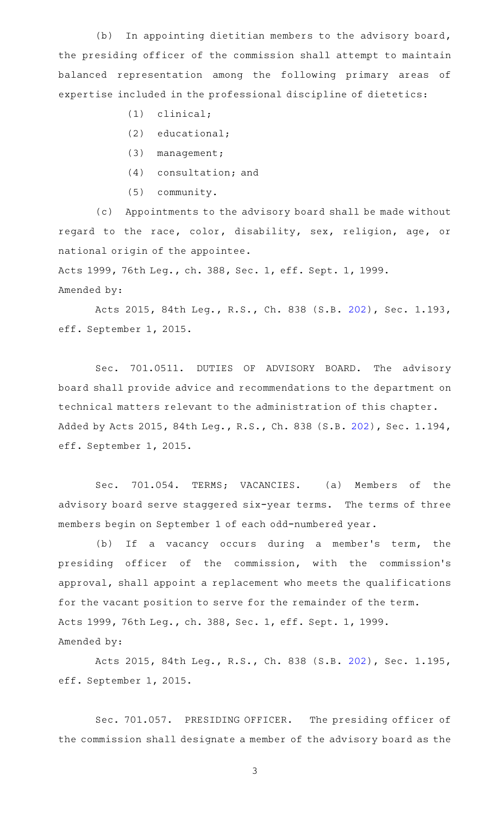(b) In appointing dietitian members to the advisory board, the presiding officer of the commission shall attempt to maintain balanced representation among the following primary areas of expertise included in the professional discipline of dietetics:

- $(1)$  clinical;
- $(2)$  educational;
- (3) management;
- $(4)$  consultation; and
- (5) community.

(c) Appointments to the advisory board shall be made without regard to the race, color, disability, sex, religion, age, or national origin of the appointee.

Acts 1999, 76th Leg., ch. 388, Sec. 1, eff. Sept. 1, 1999. Amended by:

Acts 2015, 84th Leg., R.S., Ch. 838 (S.B. [202](http://www.legis.state.tx.us/tlodocs/84R/billtext/html/SB00202F.HTM)), Sec. 1.193, eff. September 1, 2015.

Sec. 701.0511. DUTIES OF ADVISORY BOARD. The advisory board shall provide advice and recommendations to the department on technical matters relevant to the administration of this chapter. Added by Acts 2015, 84th Leg., R.S., Ch. 838 (S.B. [202\)](http://www.legis.state.tx.us/tlodocs/84R/billtext/html/SB00202F.HTM), Sec. 1.194, eff. September 1, 2015.

Sec. 701.054. TERMS; VACANCIES. (a) Members of the advisory board serve staggered six-year terms. The terms of three members begin on September 1 of each odd-numbered year.

(b) If a vacancy occurs during a member's term, the presiding officer of the commission, with the commission 's approval, shall appoint a replacement who meets the qualifications for the vacant position to serve for the remainder of the term. Acts 1999, 76th Leg., ch. 388, Sec. 1, eff. Sept. 1, 1999. Amended by:

Acts 2015, 84th Leg., R.S., Ch. 838 (S.B. [202](http://www.legis.state.tx.us/tlodocs/84R/billtext/html/SB00202F.HTM)), Sec. 1.195, eff. September 1, 2015.

Sec. 701.057. PRESIDING OFFICER. The presiding officer of the commission shall designate a member of the advisory board as the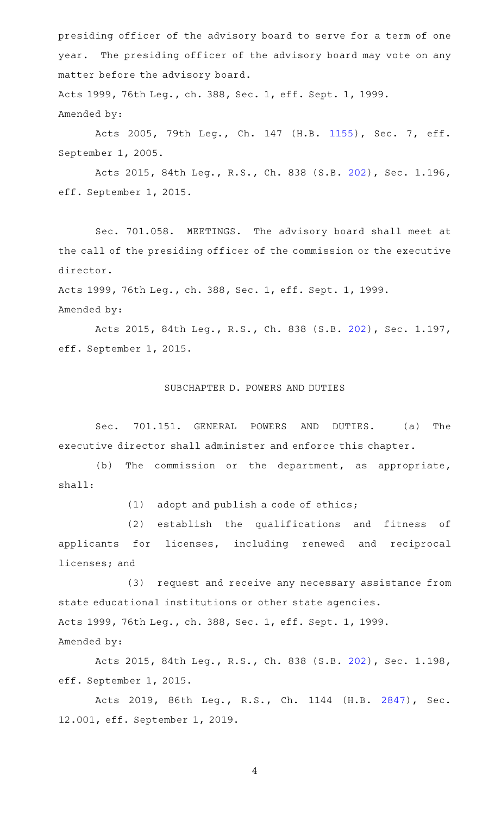presiding officer of the advisory board to serve for a term of one year. The presiding officer of the advisory board may vote on any matter before the advisory board. Acts 1999, 76th Leg., ch. 388, Sec. 1, eff. Sept. 1, 1999.

Amended by:

Acts 2005, 79th Leg., Ch. 147 (H.B. [1155](http://www.legis.state.tx.us/tlodocs/79R/billtext/html/HB01155F.HTM)), Sec. 7, eff. September 1, 2005.

Acts 2015, 84th Leg., R.S., Ch. 838 (S.B. [202](http://www.legis.state.tx.us/tlodocs/84R/billtext/html/SB00202F.HTM)), Sec. 1.196, eff. September 1, 2015.

Sec. 701.058. MEETINGS. The advisory board shall meet at the call of the presiding officer of the commission or the executive director.

Acts 1999, 76th Leg., ch. 388, Sec. 1, eff. Sept. 1, 1999.

Amended by:

Acts 2015, 84th Leg., R.S., Ch. 838 (S.B. [202](http://www.legis.state.tx.us/tlodocs/84R/billtext/html/SB00202F.HTM)), Sec. 1.197, eff. September 1, 2015.

## SUBCHAPTER D. POWERS AND DUTIES

Sec. 701.151. GENERAL POWERS AND DUTIES. (a) The executive director shall administer and enforce this chapter.

(b) The commission or the department, as appropriate, shall:

 $(1)$  adopt and publish a code of ethics;

(2) establish the qualifications and fitness of applicants for licenses, including renewed and reciprocal licenses; and

(3) request and receive any necessary assistance from state educational institutions or other state agencies. Acts 1999, 76th Leg., ch. 388, Sec. 1, eff. Sept. 1, 1999. Amended by:

Acts 2015, 84th Leg., R.S., Ch. 838 (S.B. [202](http://www.legis.state.tx.us/tlodocs/84R/billtext/html/SB00202F.HTM)), Sec. 1.198, eff. September 1, 2015.

Acts 2019, 86th Leg., R.S., Ch. 1144 (H.B. [2847\)](http://www.legis.state.tx.us/tlodocs/86R/billtext/html/HB02847F.HTM), Sec. 12.001, eff. September 1, 2019.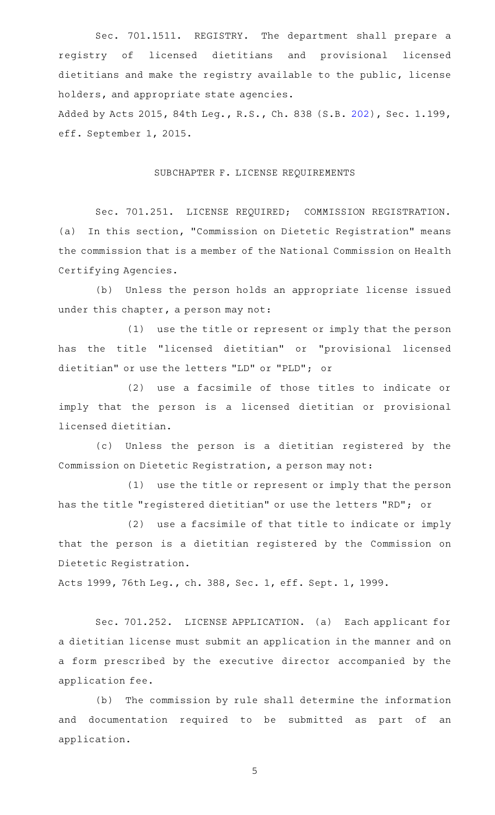Sec. 701.1511. REGISTRY. The department shall prepare a registry of licensed dietitians and provisional licensed dietitians and make the registry available to the public, license holders, and appropriate state agencies.

Added by Acts 2015, 84th Leg., R.S., Ch. 838 (S.B. [202\)](http://www.legis.state.tx.us/tlodocs/84R/billtext/html/SB00202F.HTM), Sec. 1.199, eff. September 1, 2015.

## SUBCHAPTER F. LICENSE REQUIREMENTS

Sec. 701.251. LICENSE REQUIRED; COMMISSION REGISTRATION. (a) In this section, "Commission on Dietetic Registration" means the commission that is a member of the National Commission on Health Certifying Agencies.

(b) Unless the person holds an appropriate license issued under this chapter, a person may not:

(1) use the title or represent or imply that the person has the title "licensed dietitian" or "provisional licensed dietitian" or use the letters "LD" or "PLD"; or

(2) use a facsimile of those titles to indicate or imply that the person is a licensed dietitian or provisional licensed dietitian.

(c) Unless the person is a dietitian registered by the Commission on Dietetic Registration, a person may not:

(1) use the title or represent or imply that the person has the title "registered dietitian" or use the letters "RD"; or

(2) use a facsimile of that title to indicate or imply that the person is a dietitian registered by the Commission on Dietetic Registration.

Acts 1999, 76th Leg., ch. 388, Sec. 1, eff. Sept. 1, 1999.

Sec. 701.252. LICENSE APPLICATION. (a) Each applicant for a dietitian license must submit an application in the manner and on a form prescribed by the executive director accompanied by the application fee.

(b) The commission by rule shall determine the information and documentation required to be submitted as part of an application.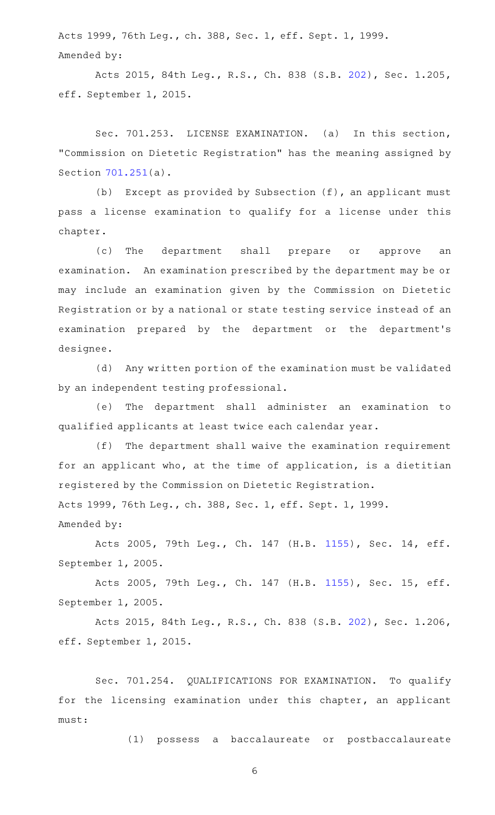Acts 1999, 76th Leg., ch. 388, Sec. 1, eff. Sept. 1, 1999. Amended by:

Acts 2015, 84th Leg., R.S., Ch. 838 (S.B. [202](http://www.legis.state.tx.us/tlodocs/84R/billtext/html/SB00202F.HTM)), Sec. 1.205, eff. September 1, 2015.

Sec. 701.253. LICENSE EXAMINATION. (a) In this section, "Commission on Dietetic Registration" has the meaning assigned by Section [701.251\(](http://www.statutes.legis.state.tx.us/GetStatute.aspx?Code=OC&Value=701.251)a).

(b) Except as provided by Subsection  $(f)$ , an applicant must pass a license examination to qualify for a license under this chapter.

(c) The department shall prepare or approve an examination. An examination prescribed by the department may be or may include an examination given by the Commission on Dietetic Registration or by a national or state testing service instead of an examination prepared by the department or the department 's designee.

(d) Any written portion of the examination must be validated by an independent testing professional.

(e) The department shall administer an examination to qualified applicants at least twice each calendar year.

 $(f)$  The department shall waive the examination requirement for an applicant who, at the time of application, is a dietitian registered by the Commission on Dietetic Registration. Acts 1999, 76th Leg., ch. 388, Sec. 1, eff. Sept. 1, 1999.

Amended by:

Acts 2005, 79th Leg., Ch. 147 (H.B. [1155\)](http://www.legis.state.tx.us/tlodocs/79R/billtext/html/HB01155F.HTM), Sec. 14, eff. September 1, 2005.

Acts 2005, 79th Leg., Ch. 147 (H.B. [1155\)](http://www.legis.state.tx.us/tlodocs/79R/billtext/html/HB01155F.HTM), Sec. 15, eff. September 1, 2005.

Acts 2015, 84th Leg., R.S., Ch. 838 (S.B. [202](http://www.legis.state.tx.us/tlodocs/84R/billtext/html/SB00202F.HTM)), Sec. 1.206, eff. September 1, 2015.

Sec. 701.254. QUALIFICATIONS FOR EXAMINATION. To qualify for the licensing examination under this chapter, an applicant must:

(1) possess a baccalaureate or postbaccalaureate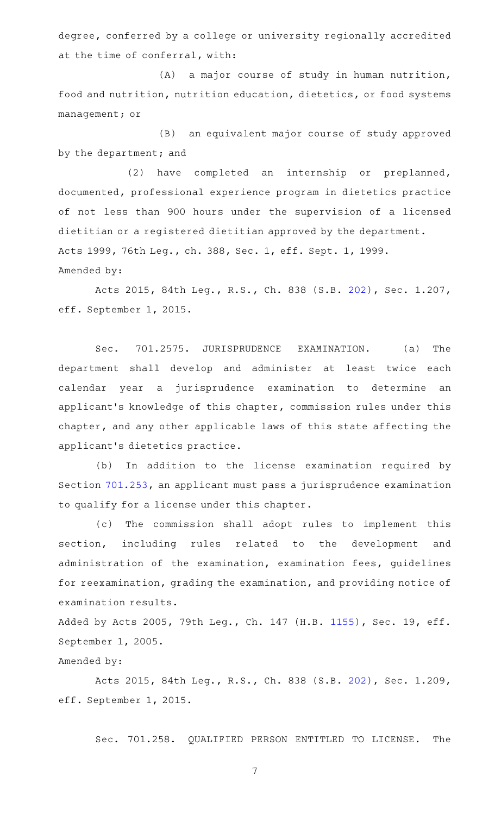degree, conferred by a college or university regionally accredited at the time of conferral, with:

(A) a major course of study in human nutrition, food and nutrition, nutrition education, dietetics, or food systems management; or

(B) an equivalent major course of study approved by the department; and

(2) have completed an internship or preplanned, documented, professional experience program in dietetics practice of not less than 900 hours under the supervision of a licensed dietitian or a registered dietitian approved by the department. Acts 1999, 76th Leg., ch. 388, Sec. 1, eff. Sept. 1, 1999. Amended by:

Acts 2015, 84th Leg., R.S., Ch. 838 (S.B. [202](http://www.legis.state.tx.us/tlodocs/84R/billtext/html/SB00202F.HTM)), Sec. 1.207, eff. September 1, 2015.

Sec. 701.2575. JURISPRUDENCE EXAMINATION. (a) The department shall develop and administer at least twice each calendar year a jurisprudence examination to determine an applicant 's knowledge of this chapter, commission rules under this chapter, and any other applicable laws of this state affecting the applicant 's dietetics practice.

(b) In addition to the license examination required by Section [701.253,](http://www.statutes.legis.state.tx.us/GetStatute.aspx?Code=OC&Value=701.253) an applicant must pass a jurisprudence examination to qualify for a license under this chapter.

(c) The commission shall adopt rules to implement this section, including rules related to the development and administration of the examination, examination fees, guidelines for reexamination, grading the examination, and providing notice of examination results.

Added by Acts 2005, 79th Leg., Ch. 147 (H.B. [1155](http://www.legis.state.tx.us/tlodocs/79R/billtext/html/HB01155F.HTM)), Sec. 19, eff. September 1, 2005.

# Amended by:

Acts 2015, 84th Leg., R.S., Ch. 838 (S.B. [202](http://www.legis.state.tx.us/tlodocs/84R/billtext/html/SB00202F.HTM)), Sec. 1.209, eff. September 1, 2015.

Sec. 701.258. QUALIFIED PERSON ENTITLED TO LICENSE. The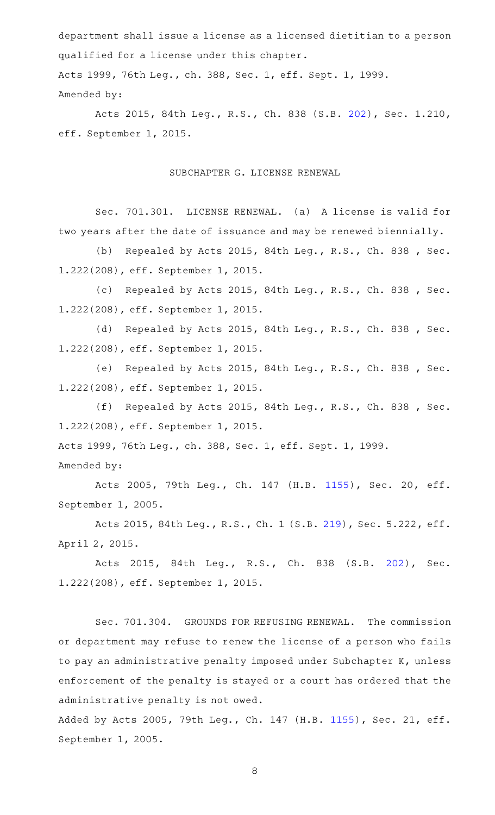department shall issue a license as a licensed dietitian to a person qualified for a license under this chapter. Acts 1999, 76th Leg., ch. 388, Sec. 1, eff. Sept. 1, 1999. Amended by:

Acts 2015, 84th Leg., R.S., Ch. 838 (S.B. [202](http://www.legis.state.tx.us/tlodocs/84R/billtext/html/SB00202F.HTM)), Sec. 1.210, eff. September 1, 2015.

## SUBCHAPTER G. LICENSE RENEWAL

Sec. 701.301. LICENSE RENEWAL. (a) A license is valid for two years after the date of issuance and may be renewed biennially.

(b) Repealed by Acts 2015, 84th Leg., R.S., Ch. 838 , Sec. 1.222(208), eff. September 1, 2015.

(c) Repealed by Acts 2015, 84th Leg., R.S., Ch. 838 , Sec. 1.222(208), eff. September 1, 2015.

(d) Repealed by Acts 2015, 84th Leg., R.S., Ch. 838, Sec. 1.222(208), eff. September 1, 2015.

(e) Repealed by Acts 2015, 84th Leg., R.S., Ch. 838, Sec. 1.222(208), eff. September 1, 2015.

(f) Repealed by Acts 2015, 84th Leg., R.S., Ch. 838, Sec. 1.222(208), eff. September 1, 2015.

Acts 1999, 76th Leg., ch. 388, Sec. 1, eff. Sept. 1, 1999.

Amended by:

Acts 2005, 79th Leg., Ch. 147 (H.B. [1155\)](http://www.legis.state.tx.us/tlodocs/79R/billtext/html/HB01155F.HTM), Sec. 20, eff. September 1, 2005.

Acts 2015, 84th Leg., R.S., Ch. 1 (S.B. [219](http://www.legis.state.tx.us/tlodocs/84R/billtext/html/SB00219F.HTM)), Sec. 5.222, eff. April 2, 2015.

Acts 2015, 84th Leg., R.S., Ch. 838 (S.B. [202\)](http://www.legis.state.tx.us/tlodocs/84R/billtext/html/SB00202F.HTM), Sec. 1.222(208), eff. September 1, 2015.

Sec. 701.304. GROUNDS FOR REFUSING RENEWAL. The commission or department may refuse to renew the license of a person who fails to pay an administrative penalty imposed under Subchapter K, unless enforcement of the penalty is stayed or a court has ordered that the administrative penalty is not owed.

Added by Acts 2005, 79th Leg., Ch. 147 (H.B. [1155](http://www.legis.state.tx.us/tlodocs/79R/billtext/html/HB01155F.HTM)), Sec. 21, eff. September 1, 2005.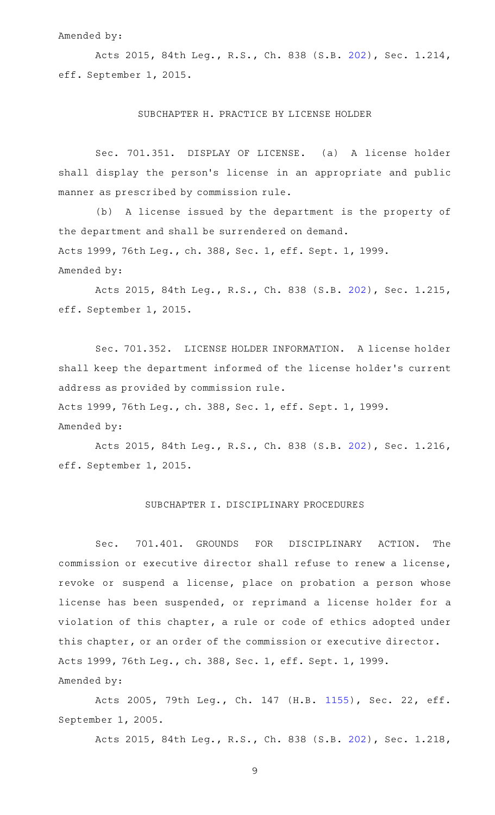### Amended by:

Acts 2015, 84th Leg., R.S., Ch. 838 (S.B. [202](http://www.legis.state.tx.us/tlodocs/84R/billtext/html/SB00202F.HTM)), Sec. 1.214, eff. September 1, 2015.

#### SUBCHAPTER H. PRACTICE BY LICENSE HOLDER

Sec. 701.351. DISPLAY OF LICENSE. (a) A license holder shall display the person 's license in an appropriate and public manner as prescribed by commission rule.

(b) A license issued by the department is the property of the department and shall be surrendered on demand. Acts 1999, 76th Leg., ch. 388, Sec. 1, eff. Sept. 1, 1999. Amended by:

Acts 2015, 84th Leg., R.S., Ch. 838 (S.B. [202](http://www.legis.state.tx.us/tlodocs/84R/billtext/html/SB00202F.HTM)), Sec. 1.215, eff. September 1, 2015.

Sec. 701.352. LICENSE HOLDER INFORMATION. A license holder shall keep the department informed of the license holder 's current address as provided by commission rule.

Acts 1999, 76th Leg., ch. 388, Sec. 1, eff. Sept. 1, 1999.

### Amended by:

Acts 2015, 84th Leg., R.S., Ch. 838 (S.B. [202](http://www.legis.state.tx.us/tlodocs/84R/billtext/html/SB00202F.HTM)), Sec. 1.216, eff. September 1, 2015.

# SUBCHAPTER I. DISCIPLINARY PROCEDURES

Sec. 701.401. GROUNDS FOR DISCIPLINARY ACTION. The commission or executive director shall refuse to renew a license, revoke or suspend a license, place on probation a person whose license has been suspended, or reprimand a license holder for a violation of this chapter, a rule or code of ethics adopted under this chapter, or an order of the commission or executive director. Acts 1999, 76th Leg., ch. 388, Sec. 1, eff. Sept. 1, 1999. Amended by:

Acts 2005, 79th Leg., Ch. 147 (H.B. [1155\)](http://www.legis.state.tx.us/tlodocs/79R/billtext/html/HB01155F.HTM), Sec. 22, eff. September 1, 2005.

Acts 2015, 84th Leg., R.S., Ch. 838 (S.B. [202](http://www.legis.state.tx.us/tlodocs/84R/billtext/html/SB00202F.HTM)), Sec. 1.218,